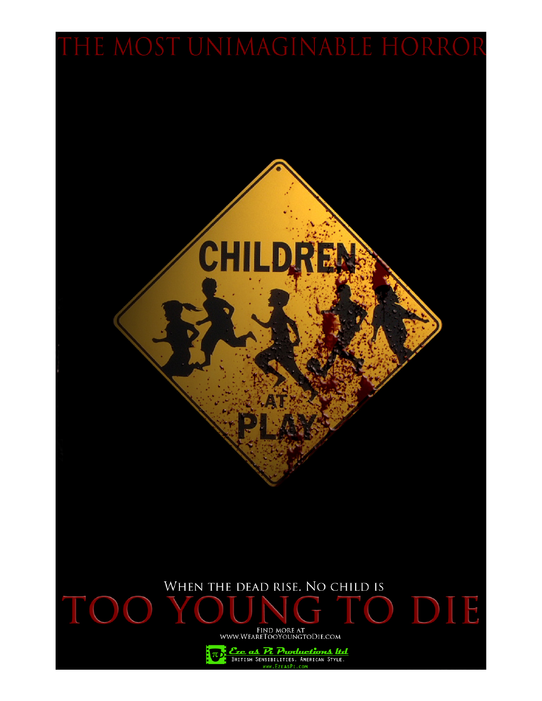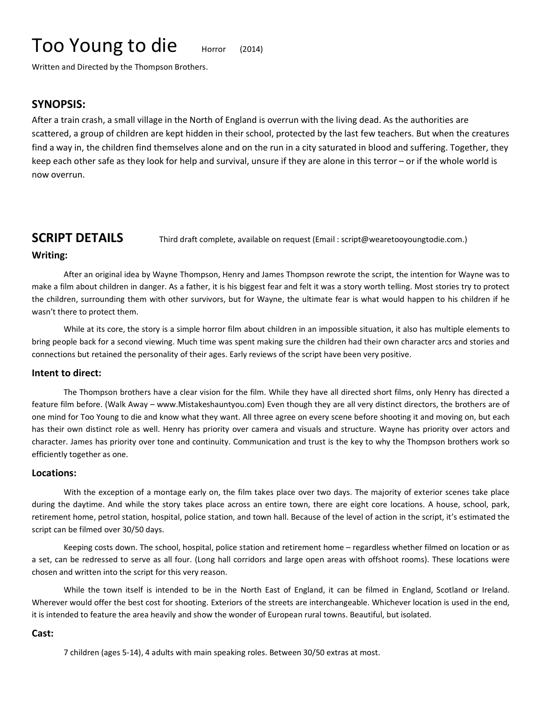# Too Young to die Horror (2014)

Written and Directed by the Thompson Brothers.

### **SYNOPSIS:**

After a train crash, a small village in the North of England is overrun with the living dead. As the authorities are scattered, a group of children are kept hidden in their school, protected by the last few teachers. But when the creatures find a way in, the children find themselves alone and on the run in a city saturated in blood and suffering. Together, they keep each other safe as they look for help and survival, unsure if they are alone in this terror – or if the whole world is now overrun.

**SCRIPT DETAILS** Third draft complete, available on request (Email: script@wearetooyoungtodie.com.)

#### **Writing:**

After an original idea by Wayne Thompson, Henry and James Thompson rewrote the script, the intention for Wayne was to make a film about children in danger. As a father, it is his biggest fear and felt it was a story worth telling. Most stories try to protect the children, surrounding them with other survivors, but for Wayne, the ultimate fear is what would happen to his children if he wasn't there to protect them.

While at its core, the story is a simple horror film about children in an impossible situation, it also has multiple elements to bring people back for a second viewing. Much time was spent making sure the children had their own character arcs and stories and connections but retained the personality of their ages. Early reviews of the script have been very positive.

#### **Intent to direct:**

The Thompson brothers have a clear vision for the film. While they have all directed short films, only Henry has directed a feature film before. (Walk Away – www.Mistakeshauntyou.com) Even though they are all very distinct directors, the brothers are of one mind for Too Young to die and know what they want. All three agree on every scene before shooting it and moving on, but each has their own distinct role as well. Henry has priority over camera and visuals and structure. Wayne has priority over actors and character. James has priority over tone and continuity. Communication and trust is the key to why the Thompson brothers work so efficiently together as one.

#### **Locations:**

With the exception of a montage early on, the film takes place over two days. The majority of exterior scenes take place during the daytime. And while the story takes place across an entire town, there are eight core locations. A house, school, park, retirement home, petrol station, hospital, police station, and town hall. Because of the level of action in the script, it's estimated the script can be filmed over 30/50 days.

Keeping costs down. The school, hospital, police station and retirement home – regardless whether filmed on location or as a set, can be redressed to serve as all four. (Long hall corridors and large open areas with offshoot rooms). These locations were chosen and written into the script for this very reason.

While the town itself is intended to be in the North East of England, it can be filmed in England, Scotland or Ireland. Wherever would offer the best cost for shooting. Exteriors of the streets are interchangeable. Whichever location is used in the end, it is intended to feature the area heavily and show the wonder of European rural towns. Beautiful, but isolated.

#### **Cast:**

7 children (ages 5-14), 4 adults with main speaking roles. Between 30/50 extras at most.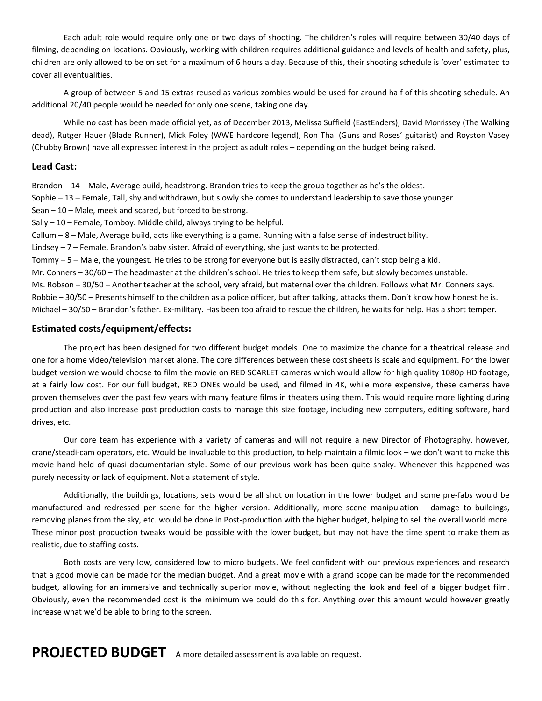Each adult role would require only one or two days of shooting. The children's roles will require between 30/40 days of filming, depending on locations. Obviously, working with children requires additional guidance and levels of health and safety, plus, children are only allowed to be on set for a maximum of 6 hours a day. Because of this, their shooting schedule is 'over' estimated to cover all eventualities.

A group of between 5 and 15 extras reused as various zombies would be used for around half of this shooting schedule. An additional 20/40 people would be needed for only one scene, taking one day.

While no cast has been made official yet, as of December 2013, Melissa Suffield (EastEnders), David Morrissey (The Walking dead), Rutger Hauer (Blade Runner), Mick Foley (WWE hardcore legend), Ron Thal (Guns and Roses' guitarist) and Royston Vasey (Chubby Brown) have all expressed interest in the project as adult roles – depending on the budget being raised.

#### **Lead Cast:**

Brandon – 14 – Male, Average build, headstrong. Brandon tries to keep the group together as he's the oldest.

Sophie – 13 – Female, Tall, shy and withdrawn, but slowly she comes to understand leadership to save those younger.

Sean – 10 – Male, meek and scared, but forced to be strong.

Sally – 10 – Female, Tomboy. Middle child, always trying to be helpful.

Callum – 8 – Male, Average build, acts like everything is a game. Running with a false sense of indestructibility.

Lindsey – 7 – Female, Brandon's baby sister. Afraid of everything, she just wants to be protected.

Tommy – 5 – Male, the youngest. He tries to be strong for everyone but is easily distracted, can't stop being a kid.

Mr. Conners – 30/60 – The headmaster at the children's school. He tries to keep them safe, but slowly becomes unstable. Ms. Robson – 30/50 – Another teacher at the school, very afraid, but maternal over the children. Follows what Mr. Conners says. Robbie – 30/50 – Presents himself to the children as a police officer, but after talking, attacks them. Don't know how honest he is. Michael – 30/50 – Brandon's father. Ex-military. Has been too afraid to rescue the children, he waits for help. Has a short temper.

#### **Estimated costs/equipment/effects:**

The project has been designed for two different budget models. One to maximize the chance for a theatrical release and one for a home video/television market alone. The core differences between these cost sheets is scale and equipment. For the lower budget version we would choose to film the movie on RED SCARLET cameras which would allow for high quality 1080p HD footage, at a fairly low cost. For our full budget, RED ONEs would be used, and filmed in 4K, while more expensive, these cameras have proven themselves over the past few years with many feature films in theaters using them. This would require more lighting during production and also increase post production costs to manage this size footage, including new computers, editing software, hard drives, etc.

Our core team has experience with a variety of cameras and will not require a new Director of Photography, however, crane/steadi-cam operators, etc. Would be invaluable to this production, to help maintain a filmic look – we don't want to make this movie hand held of quasi-documentarian style. Some of our previous work has been quite shaky. Whenever this happened was purely necessity or lack of equipment. Not a statement of style.

Additionally, the buildings, locations, sets would be all shot on location in the lower budget and some pre-fabs would be manufactured and redressed per scene for the higher version. Additionally, more scene manipulation – damage to buildings, removing planes from the sky, etc. would be done in Post-production with the higher budget, helping to sell the overall world more. These minor post production tweaks would be possible with the lower budget, but may not have the time spent to make them as realistic, due to staffing costs.

Both costs are very low, considered low to micro budgets. We feel confident with our previous experiences and research that a good movie can be made for the median budget. And a great movie with a grand scope can be made for the recommended budget, allowing for an immersive and technically superior movie, without neglecting the look and feel of a bigger budget film. Obviously, even the recommended cost is the minimum we could do this for. Anything over this amount would however greatly increase what we'd be able to bring to the screen.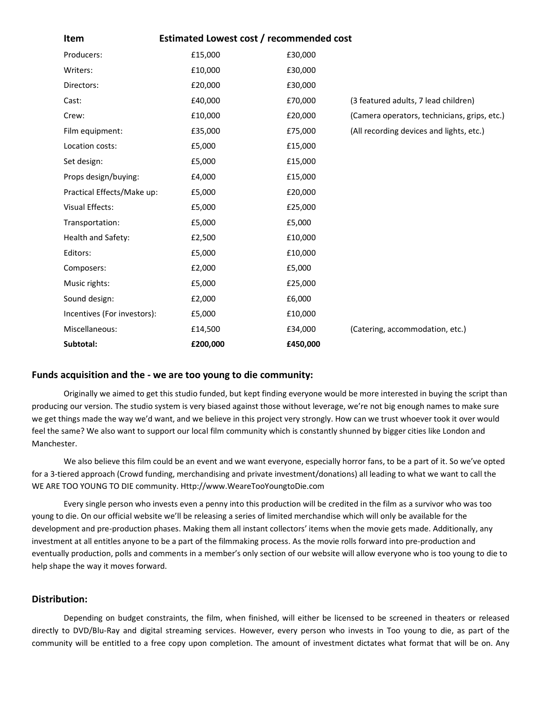| Item                        | Estimated Lowest cost / recommended cost |          |                                              |
|-----------------------------|------------------------------------------|----------|----------------------------------------------|
| Producers:                  | £15,000                                  | £30,000  |                                              |
| Writers:                    | £10,000                                  | £30,000  |                                              |
| Directors:                  | £20,000                                  | £30,000  |                                              |
| Cast:                       | £40,000                                  | £70,000  | (3 featured adults, 7 lead children)         |
| Crew:                       | £10,000                                  | £20,000  | (Camera operators, technicians, grips, etc.) |
| Film equipment:             | £35,000                                  | £75,000  | (All recording devices and lights, etc.)     |
| Location costs:             | £5,000                                   | £15,000  |                                              |
| Set design:                 | £5,000                                   | £15,000  |                                              |
| Props design/buying:        | £4,000                                   | £15,000  |                                              |
| Practical Effects/Make up:  | £5,000                                   | £20,000  |                                              |
| Visual Effects:             | £5,000                                   | £25,000  |                                              |
| Transportation:             | £5,000                                   | £5,000   |                                              |
| Health and Safety:          | £2,500                                   | £10,000  |                                              |
| Editors:                    | £5,000                                   | £10,000  |                                              |
| Composers:                  | £2,000                                   | £5,000   |                                              |
| Music rights:               | £5,000                                   | £25,000  |                                              |
| Sound design:               | £2,000                                   | £6,000   |                                              |
| Incentives (For investors): | £5,000                                   | £10,000  |                                              |
| Miscellaneous:              | £14,500                                  | £34,000  | (Catering, accommodation, etc.)              |
| Subtotal:                   | £200,000                                 | £450,000 |                                              |

#### **Funds acquisition and the - we are too young to die community:**

Originally we aimed to get this studio funded, but kept finding everyone would be more interested in buying the script than producing our version. The studio system is very biased against those without leverage, we're not big enough names to make sure we get things made the way we'd want, and we believe in this project very strongly. How can we trust whoever took it over would feel the same? We also want to support our local film community which is constantly shunned by bigger cities like London and Manchester.

We also believe this film could be an event and we want everyone, especially horror fans, to be a part of it. So we've opted for a 3-tiered approach (Crowd funding, merchandising and private investment/donations) all leading to what we want to call the WE ARE TOO YOUNG TO DIE community. Http://www.WeareTooYoungtoDie.com

Every single person who invests even a penny into this production will be credited in the film as a survivor who was too young to die. On our official website we'll be releasing a series of limited merchandise which will only be available for the development and pre-production phases. Making them all instant collectors' items when the movie gets made. Additionally, any investment at all entitles anyone to be a part of the filmmaking process. As the movie rolls forward into pre-production and eventually production, polls and comments in a member's only section of our website will allow everyone who is too young to die to help shape the way it moves forward.

#### **Distribution:**

Depending on budget constraints, the film, when finished, will either be licensed to be screened in theaters or released directly to DVD/Blu-Ray and digital streaming services. However, every person who invests in Too young to die, as part of the community will be entitled to a free copy upon completion. The amount of investment dictates what format that will be on. Any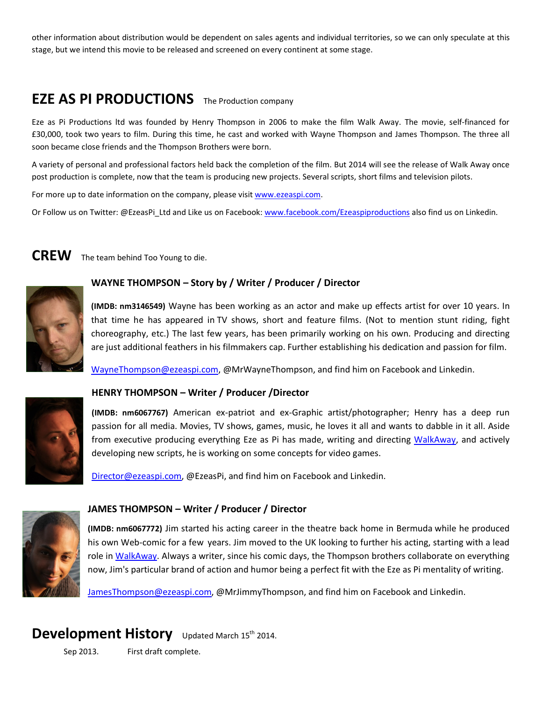other information about distribution would be dependent on sales agents and individual territories, so we can only speculate at this stage, but we intend this movie to be released and screened on every continent at some stage.

# **EZE AS PI PRODUCTIONS** The Production company

Eze as Pi Productions ltd was founded by Henry Thompson in 2006 to make the film Walk Away. The movie, self-financed for £30,000, took two years to film. During this time, he cast and worked with Wayne Thompson and James Thompson. The three all soon became close friends and the Thompson Brothers were born.

A variety of personal and professional factors held back the completion of the film. But 2014 will see the release of Walk Away once post production is complete, now that the team is producing new projects. Several scripts, short films and television pilots.

For more up to date information on the company, please visit [www.ezeaspi.com.](http://www.ezeaspi.com/)

Or Follow us on Twitter: @EzeasPi\_Ltd and Like us on Facebook: [www.facebook.com/Ezeaspiproductions](http://www.facebook.com/Ezeaspiproductions) also find us on Linkedin.

# **CREW** The team behind Too Young to die.

**(IMDB: nm3146549)** Wayne has been working as an actor and make up effects artist for over 10 years. In that time he has appeared in TV shows, short and feature films. (Not to mention stunt riding, fight choreography, etc.) The last few years, has been primarily working on his own. Producing and directing are just additional feathers in his filmmakers cap. Further establishing his dedication and passion for film.

[WayneThompson@ezeaspi.com,](mailto:WayneThompson@ezeaspi.com) @MrWayneThompson, and find him on Facebook and Linkedin.



### **HENRY THOMPSON – Writer / Producer /Director**

**WAYNE THOMPSON – Story by / Writer / Producer / Director**

**(IMDB: nm6067767)** American ex-patriot and ex-Graphic artist/photographer; Henry has a deep run passion for all media. Movies, TV shows, games, music, he loves it all and wants to dabble in it all. Aside from executive producing everything Eze as Pi has made, writing and directing [WalkAway,](http://www.mistakeshauntyou.com/) and actively developing new scripts, he is working on some concepts for video games.

[Director@ezeaspi.com,](mailto:Director@ezeaspi.com) @EzeasPi, and find him on Facebook and Linkedin.



### **JAMES THOMPSON – Writer / Producer / Director**

**(IMDB: nm6067772)** Jim started his acting career in the theatre back home in Bermuda while he produced his own Web-comic for a few years. Jim moved to the UK looking to further his acting, starting with a lead role in [WalkAway.](http://www.mistakeshauntyou.com/) Always a writer, since his comic days, the Thompson brothers collaborate on everything now, Jim's particular brand of action and humor being a perfect fit with the Eze as Pi mentality of writing.

[JamesThompson@ezeaspi.com,](mailto:JamesThompson@ezeaspi.com) @MrJimmyThompson, and find him on Facebook and Linkedin.

## **Development History** Updated March 15<sup>th</sup> 2014.

Sep 2013. First draft complete.